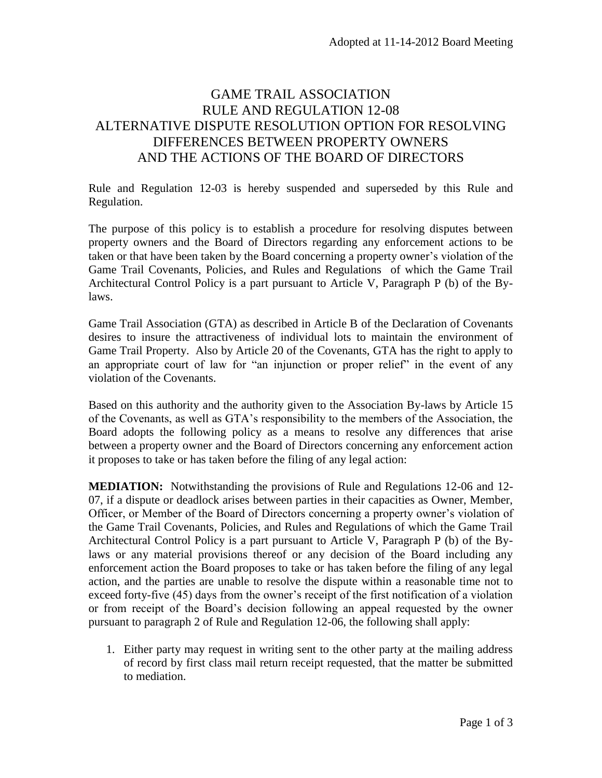## GAME TRAIL ASSOCIATION RULE AND REGULATION 12-08 ALTERNATIVE DISPUTE RESOLUTION OPTION FOR RESOLVING DIFFERENCES BETWEEN PROPERTY OWNERS AND THE ACTIONS OF THE BOARD OF DIRECTORS

Rule and Regulation 12-03 is hereby suspended and superseded by this Rule and Regulation.

The purpose of this policy is to establish a procedure for resolving disputes between property owners and the Board of Directors regarding any enforcement actions to be taken or that have been taken by the Board concerning a property owner's violation of the Game Trail Covenants, Policies, and Rules and Regulations of which the Game Trail Architectural Control Policy is a part pursuant to Article V, Paragraph P (b) of the Bylaws.

Game Trail Association (GTA) as described in Article B of the Declaration of Covenants desires to insure the attractiveness of individual lots to maintain the environment of Game Trail Property. Also by Article 20 of the Covenants, GTA has the right to apply to an appropriate court of law for "an injunction or proper relief" in the event of any violation of the Covenants.

Based on this authority and the authority given to the Association By-laws by Article 15 of the Covenants, as well as GTA's responsibility to the members of the Association, the Board adopts the following policy as a means to resolve any differences that arise between a property owner and the Board of Directors concerning any enforcement action it proposes to take or has taken before the filing of any legal action:

**MEDIATION:** Notwithstanding the provisions of Rule and Regulations 12-06 and 12- 07, if a dispute or deadlock arises between parties in their capacities as Owner, Member, Officer, or Member of the Board of Directors concerning a property owner's violation of the Game Trail Covenants, Policies, and Rules and Regulations of which the Game Trail Architectural Control Policy is a part pursuant to Article V, Paragraph P (b) of the Bylaws or any material provisions thereof or any decision of the Board including any enforcement action the Board proposes to take or has taken before the filing of any legal action, and the parties are unable to resolve the dispute within a reasonable time not to exceed forty-five (45) days from the owner's receipt of the first notification of a violation or from receipt of the Board's decision following an appeal requested by the owner pursuant to paragraph 2 of Rule and Regulation 12-06, the following shall apply:

1. Either party may request in writing sent to the other party at the mailing address of record by first class mail return receipt requested, that the matter be submitted to mediation.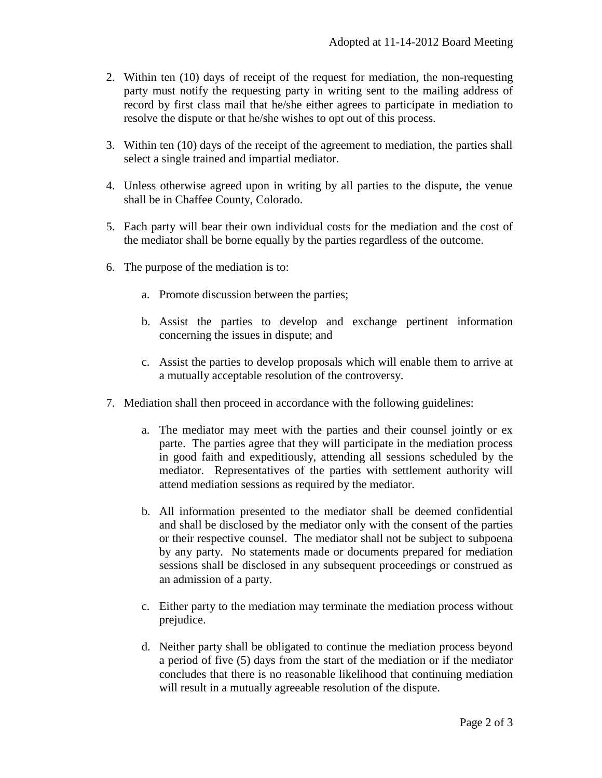- 2. Within ten (10) days of receipt of the request for mediation, the non-requesting party must notify the requesting party in writing sent to the mailing address of record by first class mail that he/she either agrees to participate in mediation to resolve the dispute or that he/she wishes to opt out of this process.
- 3. Within ten (10) days of the receipt of the agreement to mediation, the parties shall select a single trained and impartial mediator.
- 4. Unless otherwise agreed upon in writing by all parties to the dispute, the venue shall be in Chaffee County, Colorado.
- 5. Each party will bear their own individual costs for the mediation and the cost of the mediator shall be borne equally by the parties regardless of the outcome.
- 6. The purpose of the mediation is to:
	- a. Promote discussion between the parties;
	- b. Assist the parties to develop and exchange pertinent information concerning the issues in dispute; and
	- c. Assist the parties to develop proposals which will enable them to arrive at a mutually acceptable resolution of the controversy.
- 7. Mediation shall then proceed in accordance with the following guidelines:
	- a. The mediator may meet with the parties and their counsel jointly or ex parte. The parties agree that they will participate in the mediation process in good faith and expeditiously, attending all sessions scheduled by the mediator. Representatives of the parties with settlement authority will attend mediation sessions as required by the mediator.
	- b. All information presented to the mediator shall be deemed confidential and shall be disclosed by the mediator only with the consent of the parties or their respective counsel. The mediator shall not be subject to subpoena by any party. No statements made or documents prepared for mediation sessions shall be disclosed in any subsequent proceedings or construed as an admission of a party.
	- c. Either party to the mediation may terminate the mediation process without prejudice.
	- d. Neither party shall be obligated to continue the mediation process beyond a period of five (5) days from the start of the mediation or if the mediator concludes that there is no reasonable likelihood that continuing mediation will result in a mutually agreeable resolution of the dispute.